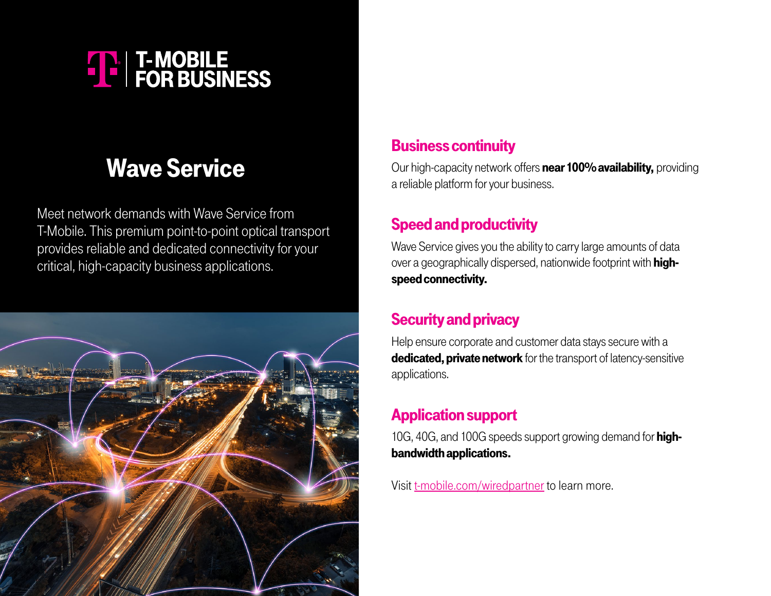# **THE T-MOBILE<br>THE FOR BUSINESS**

# Wave Service

Meet network demands with Wave Service from T-Mobile. This premium point-to-point optical transport provides reliable and dedicated connectivity for your critical, high-capacity business applications.



#### Business continuity

Our high-capacity network offers near 100% availability, providing a reliable platform for your business.

## Speed and productivity

Wave Service gives you the ability to carry large amounts of data over a geographically dispersed, nationwide footprint with **high**speed connectivity.

## Security and privacy

Help ensure corporate and customer data stays secure with a dedicated, private network for the transport of latency-sensitive applications.

# Application support

10G, 40G, and 100G speeds support growing demand for **high**bandwidth applications.

Visit [t-mobile.com/wiredpartner](http://t-mobile.com/wiredpartner) to learn more.